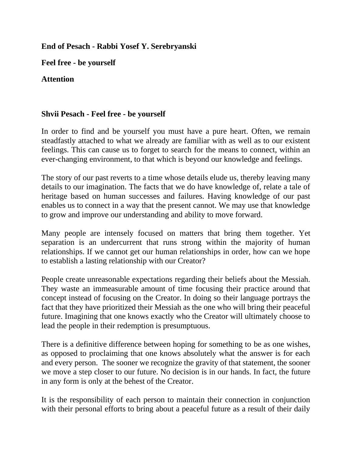## **End of Pesach - Rabbi Yosef Y. Serebryanski**

**Feel free - be yourself**

## **Attention**

## **Shvii Pesach - Feel free - be yourself**

In order to find and be yourself you must have a pure heart. Often, we remain steadfastly attached to what we already are familiar with as well as to our existent feelings. This can cause us to forget to search for the means to connect, within an ever-changing environment, to that which is beyond our knowledge and feelings.

The story of our past reverts to a time whose details elude us, thereby leaving many details to our imagination. The facts that we do have knowledge of, relate a tale of heritage based on human successes and failures. Having knowledge of our past enables us to connect in a way that the present cannot. We may use that knowledge to grow and improve our understanding and ability to move forward.

Many people are intensely focused on matters that bring them together. Yet separation is an undercurrent that runs strong within the majority of human relationships. If we cannot get our human relationships in order, how can we hope to establish a lasting relationship with our Creator?

People create unreasonable expectations regarding their beliefs about the Messiah. They waste an immeasurable amount of time focusing their practice around that concept instead of focusing on the Creator. In doing so their language portrays the fact that they have prioritized their Messiah as the one who will bring their peaceful future. Imagining that one knows exactly who the Creator will ultimately choose to lead the people in their redemption is presumptuous.

There is a definitive difference between hoping for something to be as one wishes, as opposed to proclaiming that one knows absolutely what the answer is for each and every person. The sooner we recognize the gravity of that statement, the sooner we move a step closer to our future. No decision is in our hands. In fact, the future in any form is only at the behest of the Creator.

It is the responsibility of each person to maintain their connection in conjunction with their personal efforts to bring about a peaceful future as a result of their daily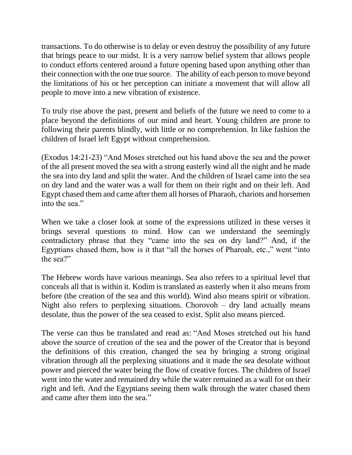transactions. To do otherwise is to delay or even destroy the possibility of any future that brings peace to our midst. It is a very narrow belief system that allows people to conduct efforts centered around a future opening based upon anything other than their connection with the one true source. The ability of each person to move beyond the limitations of his or her perception can initiate a movement that will allow all people to move into a new vibration of existence.

To truly rise above the past, present and beliefs of the future we need to come to a place beyond the definitions of our mind and heart. Young children are prone to following their parents blindly, with little or no comprehension. In like fashion the children of Israel left Egypt without comprehension.

(Exodus 14:21-23) "And Moses stretched out his hand above the sea and the power of the all present moved the sea with a strong easterly wind all the night and he made the sea into dry land and split the water. And the children of Israel came into the sea on dry land and the water was a wall for them on their right and on their left. And Egypt chased them and came after them all horses of Pharaoh, chariots and horsemen into the sea."

When we take a closer look at some of the expressions utilized in these verses it brings several questions to mind. How can we understand the seemingly contradictory phrase that they "came into the sea on dry land?" And, if the Egyptians chased them, how is it that "all the horses of Pharoah, etc.," went "into the sea?"

The Hebrew words have various meanings. Sea also refers to a spiritual level that conceals all that is within it. Kodim is translated as easterly when it also means from before (the creation of the sea and this world). Wind also means spirit or vibration. Night also refers to perplexing situations. Chorovoh  $-$  dry land actually means desolate, thus the power of the sea ceased to exist. Split also means pierced.

The verse can thus be translated and read as: "And Moses stretched out his hand above the source of creation of the sea and the power of the Creator that is beyond the definitions of this creation, changed the sea by bringing a strong original vibration through all the perplexing situations and it made the sea desolate without power and pierced the water being the flow of creative forces. The children of Israel went into the water and remained dry while the water remained as a wall for on their right and left. And the Egyptians seeing them walk through the water chased them and came after them into the sea."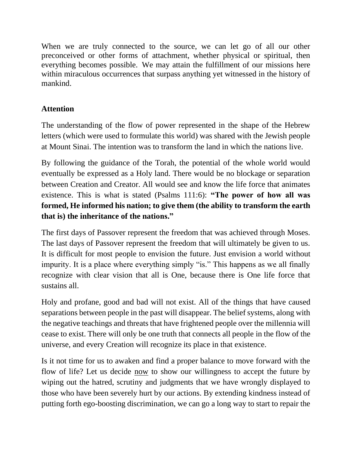When we are truly connected to the source, we can let go of all our other preconceived or other forms of attachment, whether physical or spiritual, then everything becomes possible. We may attain the fulfillment of our missions here within miraculous occurrences that surpass anything yet witnessed in the history of mankind.

## **Attention**

The understanding of the flow of power represented in the shape of the Hebrew letters (which were used to formulate this world) was shared with the Jewish people at Mount Sinai. The intention was to transform the land in which the nations live.

By following the guidance of the Torah, the potential of the whole world would eventually be expressed as a Holy land. There would be no blockage or separation between Creation and Creator. All would see and know the life force that animates existence. This is what is stated (Psalms 111:6): **"The power of how all was formed, He informed his nation; to give them (the ability to transform the earth that is) the inheritance of the nations."**

The first days of Passover represent the freedom that was achieved through Moses. The last days of Passover represent the freedom that will ultimately be given to us. It is difficult for most people to envision the future. Just envision a world without impurity. It is a place where everything simply "is." This happens as we all finally recognize with clear vision that all is One, because there is One life force that sustains all.

Holy and profane, good and bad will not exist. All of the things that have caused separations between people in the past will disappear. The belief systems, along with the negative teachings and threats that have frightened people over the millennia will cease to exist. There will only be one truth that connects all people in the flow of the universe, and every Creation will recognize its place in that existence.

Is it not time for us to awaken and find a proper balance to move forward with the flow of life? Let us decide <u>now</u> to show our willingness to accept the future by wiping out the hatred, scrutiny and judgments that we have wrongly displayed to those who have been severely hurt by our actions. By extending kindness instead of putting forth ego-boosting discrimination, we can go a long way to start to repair the